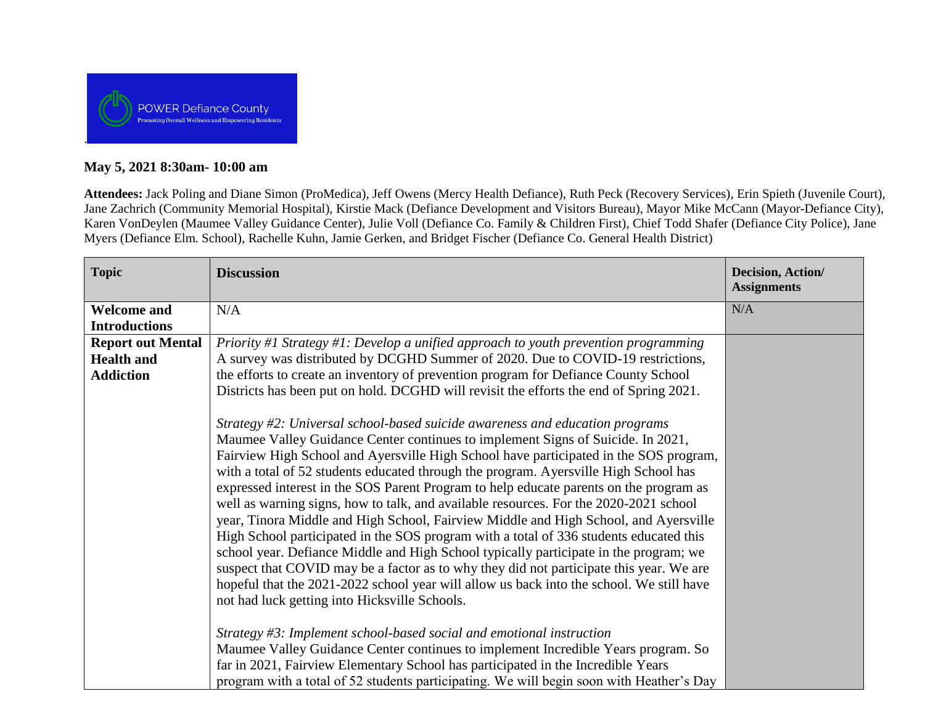

# **May 5, 2021 8:30am- 10:00 am**

**Attendees:** Jack Poling and Diane Simon (ProMedica), Jeff Owens (Mercy Health Defiance), Ruth Peck (Recovery Services), Erin Spieth (Juvenile Court), Jane Zachrich (Community Memorial Hospital), Kirstie Mack (Defiance Development and Visitors Bureau), Mayor Mike McCann (Mayor-Defiance City), Karen VonDeylen (Maumee Valley Guidance Center), Julie Voll (Defiance Co. Family & Children First), Chief Todd Shafer (Defiance City Police), Jane Myers (Defiance Elm. School), Rachelle Kuhn, Jamie Gerken, and Bridget Fischer (Defiance Co. General Health District)

| <b>Topic</b>                                                                              | <b>Discussion</b>                                                                                                                                                                                                                                                                                                                                                                                                                                                                                                                                                                                                                                                                                                                                                                                                                                                                                                                                                                                                                                                                                                                                                                                                                                                                                                                                                                                                 | Decision, Action/<br><b>Assignments</b> |
|-------------------------------------------------------------------------------------------|-------------------------------------------------------------------------------------------------------------------------------------------------------------------------------------------------------------------------------------------------------------------------------------------------------------------------------------------------------------------------------------------------------------------------------------------------------------------------------------------------------------------------------------------------------------------------------------------------------------------------------------------------------------------------------------------------------------------------------------------------------------------------------------------------------------------------------------------------------------------------------------------------------------------------------------------------------------------------------------------------------------------------------------------------------------------------------------------------------------------------------------------------------------------------------------------------------------------------------------------------------------------------------------------------------------------------------------------------------------------------------------------------------------------|-----------------------------------------|
| <b>Welcome and</b>                                                                        | N/A                                                                                                                                                                                                                                                                                                                                                                                                                                                                                                                                                                                                                                                                                                                                                                                                                                                                                                                                                                                                                                                                                                                                                                                                                                                                                                                                                                                                               | N/A                                     |
| <b>Introductions</b><br><b>Report out Mental</b><br><b>Health and</b><br><b>Addiction</b> | Priority #1 Strategy #1: Develop a unified approach to youth prevention programming<br>A survey was distributed by DCGHD Summer of 2020. Due to COVID-19 restrictions,<br>the efforts to create an inventory of prevention program for Defiance County School<br>Districts has been put on hold. DCGHD will revisit the efforts the end of Spring 2021.<br>Strategy #2: Universal school-based suicide awareness and education programs<br>Maumee Valley Guidance Center continues to implement Signs of Suicide. In 2021,<br>Fairview High School and Ayersville High School have participated in the SOS program,<br>with a total of 52 students educated through the program. Ayersville High School has<br>expressed interest in the SOS Parent Program to help educate parents on the program as<br>well as warning signs, how to talk, and available resources. For the 2020-2021 school<br>year, Tinora Middle and High School, Fairview Middle and High School, and Ayersville<br>High School participated in the SOS program with a total of 336 students educated this<br>school year. Defiance Middle and High School typically participate in the program; we<br>suspect that COVID may be a factor as to why they did not participate this year. We are<br>hopeful that the 2021-2022 school year will allow us back into the school. We still have<br>not had luck getting into Hicksville Schools. |                                         |
|                                                                                           | Strategy #3: Implement school-based social and emotional instruction<br>Maumee Valley Guidance Center continues to implement Incredible Years program. So<br>far in 2021, Fairview Elementary School has participated in the Incredible Years<br>program with a total of 52 students participating. We will begin soon with Heather's Day                                                                                                                                                                                                                                                                                                                                                                                                                                                                                                                                                                                                                                                                                                                                                                                                                                                                                                                                                                                                                                                                         |                                         |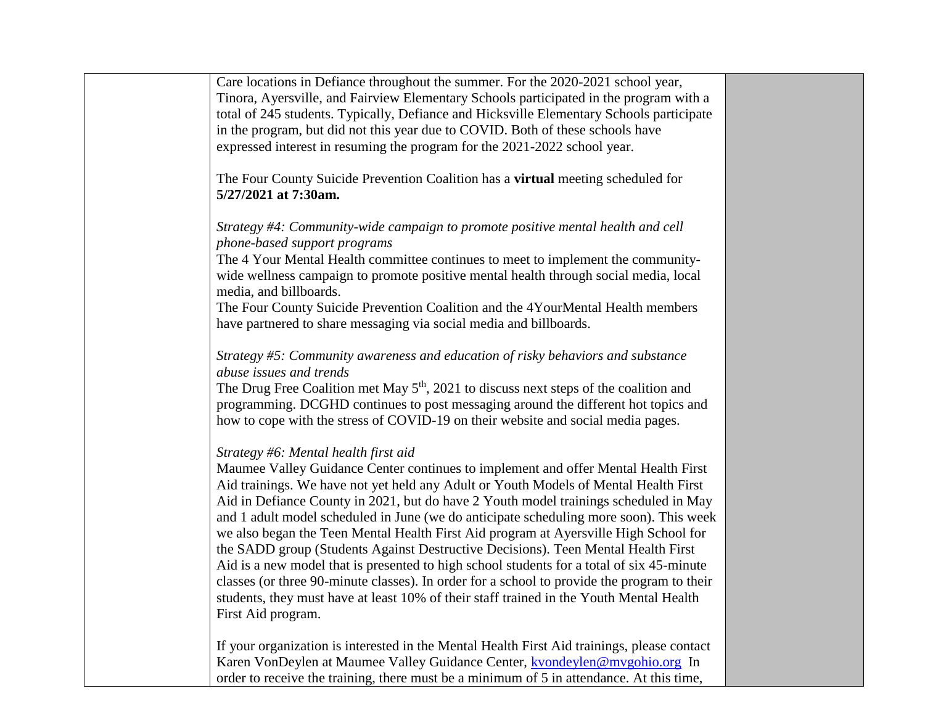Care locations in Defiance throughout the summer. For the 2020-2021 school year, Tinora, Ayersville, and Fairview Elementary Schools participated in the program with a total of 245 students. Typically, Defiance and Hicksville Elementary Schools participate in the program, but did not this year due to COVID. Both of these schools have expressed interest in resuming the program for the 2021-2022 school year.

The Four County Suicide Prevention Coalition has a **virtual** meeting scheduled for **5/27/2021 at 7:30am.** 

*Strategy #4: Community-wide campaign to promote positive mental health and cell phone-based support programs* 

The 4 Your Mental Health committee continues to meet to implement the communitywide wellness campaign to promote positive mental health through social media, local media, and billboards.

The Four County Suicide Prevention Coalition and the 4YourMental Health members have partnered to share messaging via social media and billboards.

## *Strategy #5: Community awareness and education of risky behaviors and substance abuse issues and trends*

The Drug Free Coalition met May 5<sup>th</sup>, 2021 to discuss next steps of the coalition and programming. DCGHD continues to post messaging around the different hot topics and how to cope with the stress of COVID-19 on their website and social media pages.

## *Strategy #6: Mental health first aid*

Maumee Valley Guidance Center continues to implement and offer Mental Health First Aid trainings. We have not yet held any Adult or Youth Models of Mental Health First Aid in Defiance County in 2021, but do have 2 Youth model trainings scheduled in May and 1 adult model scheduled in June (we do anticipate scheduling more soon). This week we also began the Teen Mental Health First Aid program at Ayersville High School for the SADD group (Students Against Destructive Decisions). Teen Mental Health First Aid is a new model that is presented to high school students for a total of six 45-minute classes (or three 90-minute classes). In order for a school to provide the program to their students, they must have at least 10% of their staff trained in the Youth Mental Health First Aid program.

If your organization is interested in the Mental Health First Aid trainings, please contact Karen VonDeylen at Maumee Valley Guidance Center, [kvondeylen@mvgohio.org](mailto:kvondeylen@mvgohio.org) In order to receive the training, there must be a minimum of 5 in attendance. At this time,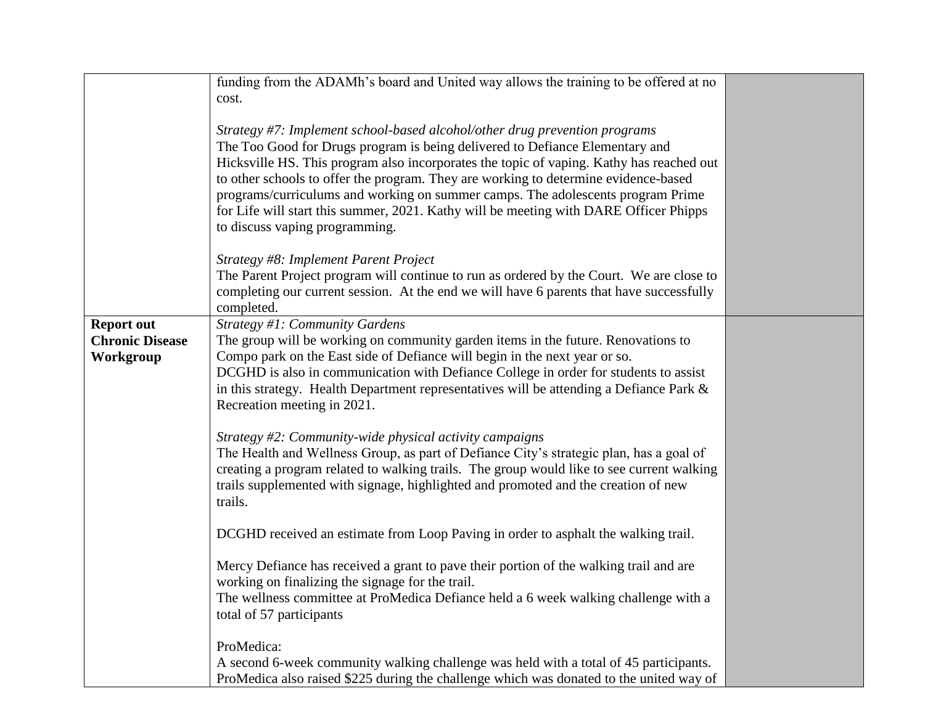|                        | funding from the ADAMh's board and United way allows the training to be offered at no<br>cost.                                                                                                                                                                                                                                                                                                                                                                                                                                                              |  |
|------------------------|-------------------------------------------------------------------------------------------------------------------------------------------------------------------------------------------------------------------------------------------------------------------------------------------------------------------------------------------------------------------------------------------------------------------------------------------------------------------------------------------------------------------------------------------------------------|--|
|                        | Strategy #7: Implement school-based alcohol/other drug prevention programs<br>The Too Good for Drugs program is being delivered to Defiance Elementary and<br>Hicksville HS. This program also incorporates the topic of vaping. Kathy has reached out<br>to other schools to offer the program. They are working to determine evidence-based<br>programs/curriculums and working on summer camps. The adolescents program Prime<br>for Life will start this summer, 2021. Kathy will be meeting with DARE Officer Phipps<br>to discuss vaping programming. |  |
|                        | Strategy #8: Implement Parent Project<br>The Parent Project program will continue to run as ordered by the Court. We are close to<br>completing our current session. At the end we will have 6 parents that have successfully<br>completed.                                                                                                                                                                                                                                                                                                                 |  |
| <b>Report out</b>      | Strategy #1: Community Gardens                                                                                                                                                                                                                                                                                                                                                                                                                                                                                                                              |  |
|                        |                                                                                                                                                                                                                                                                                                                                                                                                                                                                                                                                                             |  |
| <b>Chronic Disease</b> | The group will be working on community garden items in the future. Renovations to                                                                                                                                                                                                                                                                                                                                                                                                                                                                           |  |
| Workgroup              | Compo park on the East side of Defiance will begin in the next year or so.                                                                                                                                                                                                                                                                                                                                                                                                                                                                                  |  |
|                        | DCGHD is also in communication with Defiance College in order for students to assist                                                                                                                                                                                                                                                                                                                                                                                                                                                                        |  |
|                        | in this strategy. Health Department representatives will be attending a Defiance Park &                                                                                                                                                                                                                                                                                                                                                                                                                                                                     |  |
|                        | Recreation meeting in 2021.                                                                                                                                                                                                                                                                                                                                                                                                                                                                                                                                 |  |
|                        |                                                                                                                                                                                                                                                                                                                                                                                                                                                                                                                                                             |  |
|                        | Strategy #2: Community-wide physical activity campaigns                                                                                                                                                                                                                                                                                                                                                                                                                                                                                                     |  |
|                        | The Health and Wellness Group, as part of Defiance City's strategic plan, has a goal of                                                                                                                                                                                                                                                                                                                                                                                                                                                                     |  |
|                        |                                                                                                                                                                                                                                                                                                                                                                                                                                                                                                                                                             |  |
|                        | creating a program related to walking trails. The group would like to see current walking                                                                                                                                                                                                                                                                                                                                                                                                                                                                   |  |
|                        | trails supplemented with signage, highlighted and promoted and the creation of new                                                                                                                                                                                                                                                                                                                                                                                                                                                                          |  |
|                        | trails.                                                                                                                                                                                                                                                                                                                                                                                                                                                                                                                                                     |  |
|                        |                                                                                                                                                                                                                                                                                                                                                                                                                                                                                                                                                             |  |
|                        | DCGHD received an estimate from Loop Paving in order to asphalt the walking trail.                                                                                                                                                                                                                                                                                                                                                                                                                                                                          |  |
|                        |                                                                                                                                                                                                                                                                                                                                                                                                                                                                                                                                                             |  |
|                        | Mercy Defiance has received a grant to pave their portion of the walking trail and are                                                                                                                                                                                                                                                                                                                                                                                                                                                                      |  |
|                        | working on finalizing the signage for the trail.                                                                                                                                                                                                                                                                                                                                                                                                                                                                                                            |  |
|                        | The wellness committee at ProMedica Defiance held a 6 week walking challenge with a                                                                                                                                                                                                                                                                                                                                                                                                                                                                         |  |
|                        | total of 57 participants                                                                                                                                                                                                                                                                                                                                                                                                                                                                                                                                    |  |
|                        | ProMedica:                                                                                                                                                                                                                                                                                                                                                                                                                                                                                                                                                  |  |
|                        |                                                                                                                                                                                                                                                                                                                                                                                                                                                                                                                                                             |  |
|                        | A second 6-week community walking challenge was held with a total of 45 participants.                                                                                                                                                                                                                                                                                                                                                                                                                                                                       |  |
|                        | ProMedica also raised \$225 during the challenge which was donated to the united way of                                                                                                                                                                                                                                                                                                                                                                                                                                                                     |  |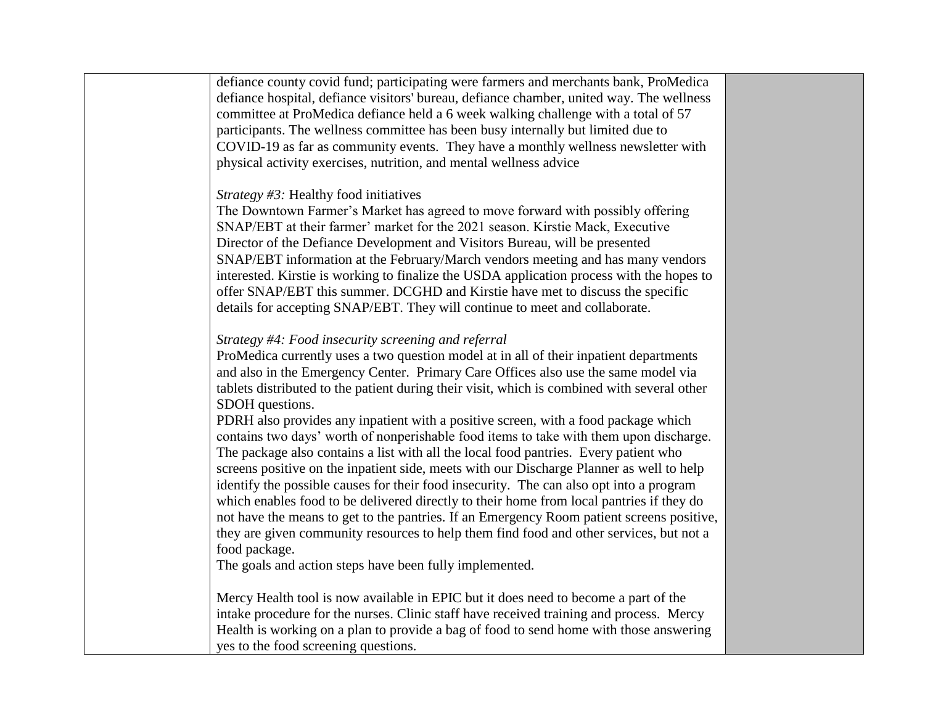defiance county covid fund; participating were farmers and merchants bank, ProMedica defiance hospital, defiance visitors' bureau, defiance chamber, united way. The wellness committee at ProMedica defiance held a 6 week walking challenge with a total of 57 participants. The wellness committee has been busy internally but limited due to COVID-19 as far as community events. They have a monthly wellness newsletter with physical activity exercises, nutrition, and mental wellness advice

## *Strategy #3:* Healthy food initiatives

The Downtown Farmer's Market has agreed to move forward with possibly offering SNAP/EBT at their farmer' market for the 2021 season. Kirstie Mack, Executive Director of the Defiance Development and Visitors Bureau, will be presented SNAP/EBT information at the February/March vendors meeting and has many vendors interested. Kirstie is working to finalize the USDA application process with the hopes to offer SNAP/EBT this summer. DCGHD and Kirstie have met to discuss the specific details for accepting SNAP/EBT. They will continue to meet and collaborate.

# *Strategy #4: Food insecurity screening and referral*

ProMedica currently uses a two question model at in all of their inpatient departments and also in the Emergency Center. Primary Care Offices also use the same model via tablets distributed to the patient during their visit, which is combined with several other SDOH questions.

PDRH also provides any inpatient with a positive screen, with a food package which contains two days' worth of nonperishable food items to take with them upon discharge. The package also contains a list with all the local food pantries. Every patient who screens positive on the inpatient side, meets with our Discharge Planner as well to help identify the possible causes for their food insecurity. The can also opt into a program which enables food to be delivered directly to their home from local pantries if they do not have the means to get to the pantries. If an Emergency Room patient screens positive, they are given community resources to help them find food and other services, but not a food package.

The goals and action steps have been fully implemented.

Mercy Health tool is now available in EPIC but it does need to become a part of the intake procedure for the nurses. Clinic staff have received training and process. Mercy Health is working on a plan to provide a bag of food to send home with those answering yes to the food screening questions.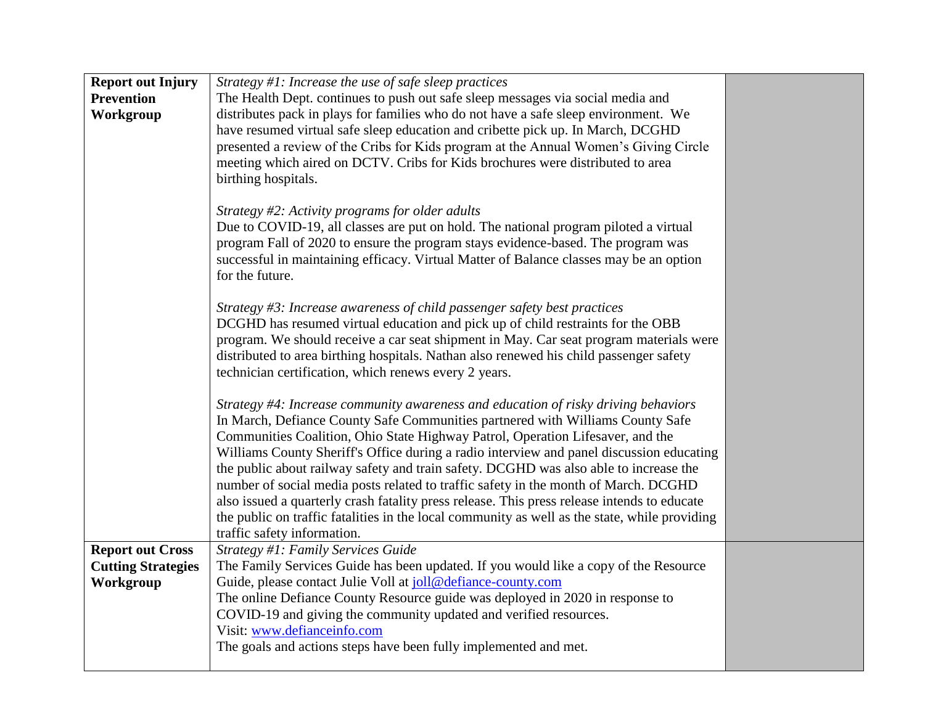| <b>Report out Injury</b><br><b>Prevention</b><br>Workgroup        | Strategy $#1$ : Increase the use of safe sleep practices<br>The Health Dept. continues to push out safe sleep messages via social media and<br>distributes pack in plays for families who do not have a safe sleep environment. We<br>have resumed virtual safe sleep education and cribette pick up. In March, DCGHD<br>presented a review of the Cribs for Kids program at the Annual Women's Giving Circle<br>meeting which aired on DCTV. Cribs for Kids brochures were distributed to area<br>birthing hospitals.                                                                                                                                                                                                                                            |
|-------------------------------------------------------------------|-------------------------------------------------------------------------------------------------------------------------------------------------------------------------------------------------------------------------------------------------------------------------------------------------------------------------------------------------------------------------------------------------------------------------------------------------------------------------------------------------------------------------------------------------------------------------------------------------------------------------------------------------------------------------------------------------------------------------------------------------------------------|
|                                                                   | Strategy #2: Activity programs for older adults<br>Due to COVID-19, all classes are put on hold. The national program piloted a virtual<br>program Fall of 2020 to ensure the program stays evidence-based. The program was<br>successful in maintaining efficacy. Virtual Matter of Balance classes may be an option<br>for the future.                                                                                                                                                                                                                                                                                                                                                                                                                          |
|                                                                   | Strategy #3: Increase awareness of child passenger safety best practices<br>DCGHD has resumed virtual education and pick up of child restraints for the OBB<br>program. We should receive a car seat shipment in May. Car seat program materials were<br>distributed to area birthing hospitals. Nathan also renewed his child passenger safety<br>technician certification, which renews every 2 years.                                                                                                                                                                                                                                                                                                                                                          |
|                                                                   | Strategy #4: Increase community awareness and education of risky driving behaviors<br>In March, Defiance County Safe Communities partnered with Williams County Safe<br>Communities Coalition, Ohio State Highway Patrol, Operation Lifesaver, and the<br>Williams County Sheriff's Office during a radio interview and panel discussion educating<br>the public about railway safety and train safety. DCGHD was also able to increase the<br>number of social media posts related to traffic safety in the month of March. DCGHD<br>also issued a quarterly crash fatality press release. This press release intends to educate<br>the public on traffic fatalities in the local community as well as the state, while providing<br>traffic safety information. |
| <b>Report out Cross</b><br><b>Cutting Strategies</b><br>Workgroup | Strategy #1: Family Services Guide<br>The Family Services Guide has been updated. If you would like a copy of the Resource<br>Guide, please contact Julie Voll at joll@defiance-county.com<br>The online Defiance County Resource guide was deployed in 2020 in response to<br>COVID-19 and giving the community updated and verified resources.<br>Visit: www.defianceinfo.com<br>The goals and actions steps have been fully implemented and met.                                                                                                                                                                                                                                                                                                               |
|                                                                   |                                                                                                                                                                                                                                                                                                                                                                                                                                                                                                                                                                                                                                                                                                                                                                   |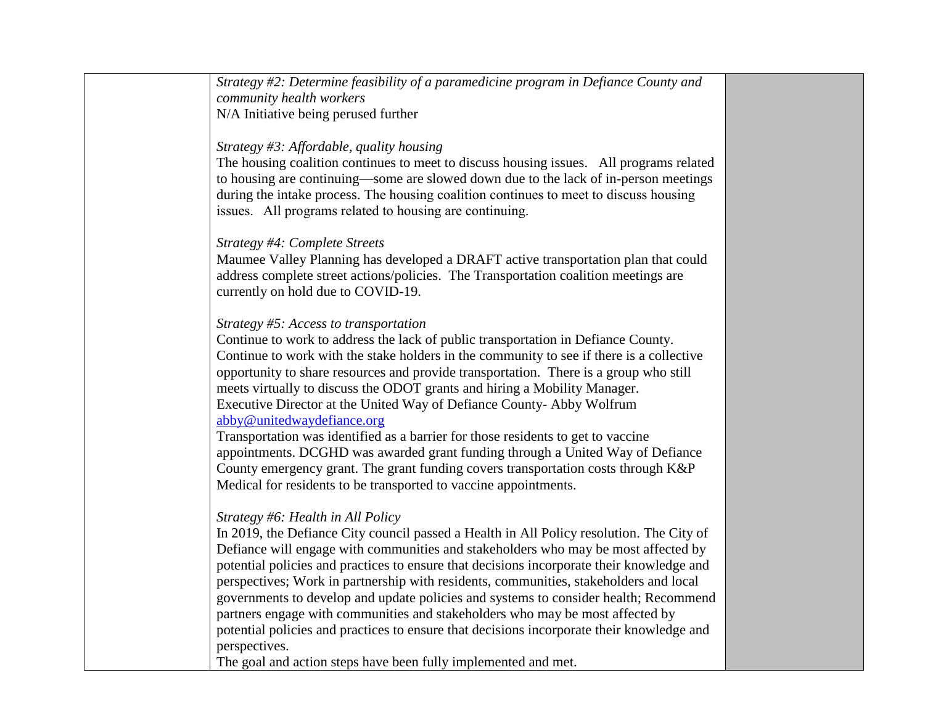*Strategy #2: Determine feasibility of a paramedicine program in Defiance County and community health workers*  N/A Initiative being perused further

### *Strategy #3: Affordable, quality housing*

The housing coalition continues to meet to discuss housing issues. All programs related to housing are continuing—some are slowed down due to the lack of in-person meetings during the intake process. The housing coalition continues to meet to discuss housing issues. All programs related to housing are continuing.

### *Strategy #4: Complete Streets*

Maumee Valley Planning has developed a DRAFT active transportation plan that could address complete street actions/policies. The Transportation coalition meetings are currently on hold due to COVID-19.

### *Strategy #5: Access to transportation*

Continue to work to address the lack of public transportation in Defiance County. Continue to work with the stake holders in the community to see if there is a collective opportunity to share resources and provide transportation. There is a group who still meets virtually to discuss the ODOT grants and hiring a Mobility Manager. Executive Director at the United Way of Defiance County- Abby Wolfrum [abby@unitedwaydefiance.org](mailto:abby@unitedwaydefiance.org)

Transportation was identified as a barrier for those residents to get to vaccine appointments. DCGHD was awarded grant funding through a United Way of Defiance County emergency grant. The grant funding covers transportation costs through K&P Medical for residents to be transported to vaccine appointments.

# *Strategy #6: Health in All Policy*

In 2019, the Defiance City council passed a Health in All Policy resolution. The City of Defiance will engage with communities and stakeholders who may be most affected by potential policies and practices to ensure that decisions incorporate their knowledge and perspectives; Work in partnership with residents, communities, stakeholders and local governments to develop and update policies and systems to consider health; Recommend partners engage with communities and stakeholders who may be most affected by potential policies and practices to ensure that decisions incorporate their knowledge and perspectives.

The goal and action steps have been fully implemented and met.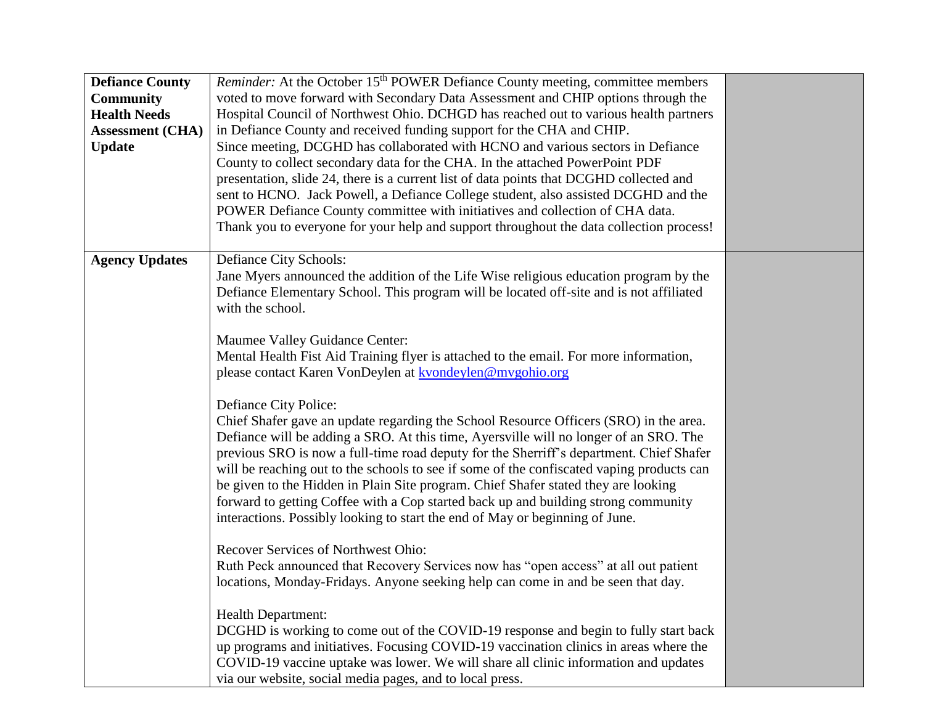| <b>Defiance County</b><br><b>Community</b><br><b>Health Needs</b><br><b>Assessment (CHA)</b><br><b>Update</b> | <i>Reminder:</i> At the October 15 <sup>th</sup> POWER Defiance County meeting, committee members<br>voted to move forward with Secondary Data Assessment and CHIP options through the<br>Hospital Council of Northwest Ohio. DCHGD has reached out to various health partners<br>in Defiance County and received funding support for the CHA and CHIP.<br>Since meeting, DCGHD has collaborated with HCNO and various sectors in Defiance<br>County to collect secondary data for the CHA. In the attached PowerPoint PDF<br>presentation, slide 24, there is a current list of data points that DCGHD collected and<br>sent to HCNO. Jack Powell, a Defiance College student, also assisted DCGHD and the<br>POWER Defiance County committee with initiatives and collection of CHA data.<br>Thank you to everyone for your help and support throughout the data collection process!                                                                                                                                                                                                                                                                                                                                                                                                                                                                                                                                                                                                                                                                                                                                                                                 |  |
|---------------------------------------------------------------------------------------------------------------|------------------------------------------------------------------------------------------------------------------------------------------------------------------------------------------------------------------------------------------------------------------------------------------------------------------------------------------------------------------------------------------------------------------------------------------------------------------------------------------------------------------------------------------------------------------------------------------------------------------------------------------------------------------------------------------------------------------------------------------------------------------------------------------------------------------------------------------------------------------------------------------------------------------------------------------------------------------------------------------------------------------------------------------------------------------------------------------------------------------------------------------------------------------------------------------------------------------------------------------------------------------------------------------------------------------------------------------------------------------------------------------------------------------------------------------------------------------------------------------------------------------------------------------------------------------------------------------------------------------------------------------------------------------------|--|
| <b>Agency Updates</b>                                                                                         | Defiance City Schools:<br>Jane Myers announced the addition of the Life Wise religious education program by the<br>Defiance Elementary School. This program will be located off-site and is not affiliated<br>with the school.<br>Maumee Valley Guidance Center:<br>Mental Health Fist Aid Training flyer is attached to the email. For more information,<br>please contact Karen VonDeylen at kvondeylen@mygohio.org<br>Defiance City Police:<br>Chief Shafer gave an update regarding the School Resource Officers (SRO) in the area.<br>Defiance will be adding a SRO. At this time, Ayersville will no longer of an SRO. The<br>previous SRO is now a full-time road deputy for the Sherriff's department. Chief Shafer<br>will be reaching out to the schools to see if some of the confiscated vaping products can<br>be given to the Hidden in Plain Site program. Chief Shafer stated they are looking<br>forward to getting Coffee with a Cop started back up and building strong community<br>interactions. Possibly looking to start the end of May or beginning of June.<br>Recover Services of Northwest Ohio:<br>Ruth Peck announced that Recovery Services now has "open access" at all out patient<br>locations, Monday-Fridays. Anyone seeking help can come in and be seen that day.<br><b>Health Department:</b><br>DCGHD is working to come out of the COVID-19 response and begin to fully start back<br>up programs and initiatives. Focusing COVID-19 vaccination clinics in areas where the<br>COVID-19 vaccine uptake was lower. We will share all clinic information and updates<br>via our website, social media pages, and to local press. |  |